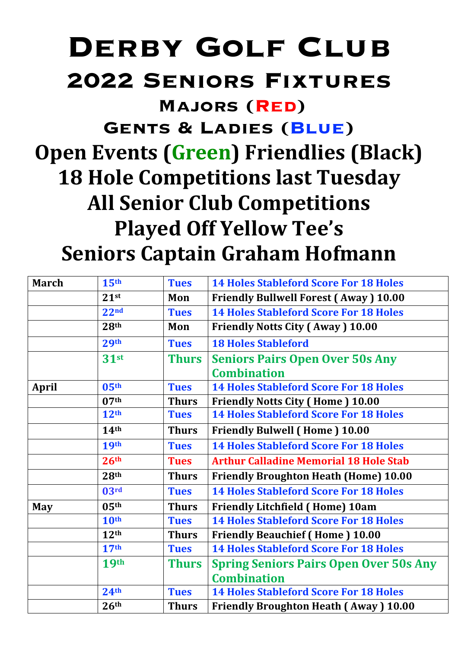## **DERBY GOLF CLUB 2022 Seniors Fixtures**

**Majors (Red)** 

**Gents & Ladies (Blue)**

**Open Events (Green) Friendlies (Black) 18 Hole Competitions last Tuesday All Senior Club Competitions Played Off Yellow Tee's Seniors Captain Graham Hofmann**

| <b>March</b> | 15 <sup>th</sup> | <b>Tues</b>  | <b>14 Holes Stableford Score For 18 Holes</b> |
|--------------|------------------|--------------|-----------------------------------------------|
|              | 21 <sup>st</sup> | Mon          | <b>Friendly Bullwell Forest (Away) 10.00</b>  |
|              | 22 <sup>nd</sup> | <b>Tues</b>  | <b>14 Holes Stableford Score For 18 Holes</b> |
|              | 28 <sup>th</sup> | Mon          | <b>Friendly Notts City (Away) 10.00</b>       |
|              | 29 <sup>th</sup> | <b>Tues</b>  | <b>18 Holes Stableford</b>                    |
|              | 31 <sub>st</sub> | <b>Thurs</b> | <b>Seniors Pairs Open Over 50s Any</b>        |
|              |                  |              | <b>Combination</b>                            |
| <b>April</b> | 05 <sup>th</sup> | <b>Tues</b>  | <b>14 Holes Stableford Score For 18 Holes</b> |
|              | 07 <sup>th</sup> | <b>Thurs</b> | <b>Friendly Notts City (Home) 10.00</b>       |
|              | 12 <sup>th</sup> | <b>Tues</b>  | <b>14 Holes Stableford Score For 18 Holes</b> |
|              | 14 <sup>th</sup> | <b>Thurs</b> | <b>Friendly Bulwell (Home) 10.00</b>          |
|              | <b>19th</b>      | <b>Tues</b>  | <b>14 Holes Stableford Score For 18 Holes</b> |
|              | 26 <sup>th</sup> | <b>Tues</b>  | <b>Arthur Calladine Memorial 18 Hole Stab</b> |
|              | 28 <sup>th</sup> | <b>Thurs</b> | <b>Friendly Broughton Heath (Home) 10.00</b>  |
|              | 03 <sup>rd</sup> | <b>Tues</b>  | <b>14 Holes Stableford Score For 18 Holes</b> |
| <b>May</b>   | 05 <sup>th</sup> | <b>Thurs</b> | <b>Friendly Litchfield (Home) 10am</b>        |
|              | 10 <sup>th</sup> | <b>Tues</b>  | <b>14 Holes Stableford Score For 18 Holes</b> |
|              | 12 <sup>th</sup> | <b>Thurs</b> | <b>Friendly Beauchief (Home) 10.00</b>        |
|              | 17 <sup>th</sup> | <b>Tues</b>  | <b>14 Holes Stableford Score For 18 Holes</b> |
|              | <b>19th</b>      | <b>Thurs</b> | <b>Spring Seniors Pairs Open Over 50s Any</b> |
|              |                  |              | <b>Combination</b>                            |
|              | 24 <sup>th</sup> | <b>Tues</b>  | <b>14 Holes Stableford Score For 18 Holes</b> |
|              | 26 <sup>th</sup> | <b>Thurs</b> | <b>Friendly Broughton Heath (Away) 10.00</b>  |